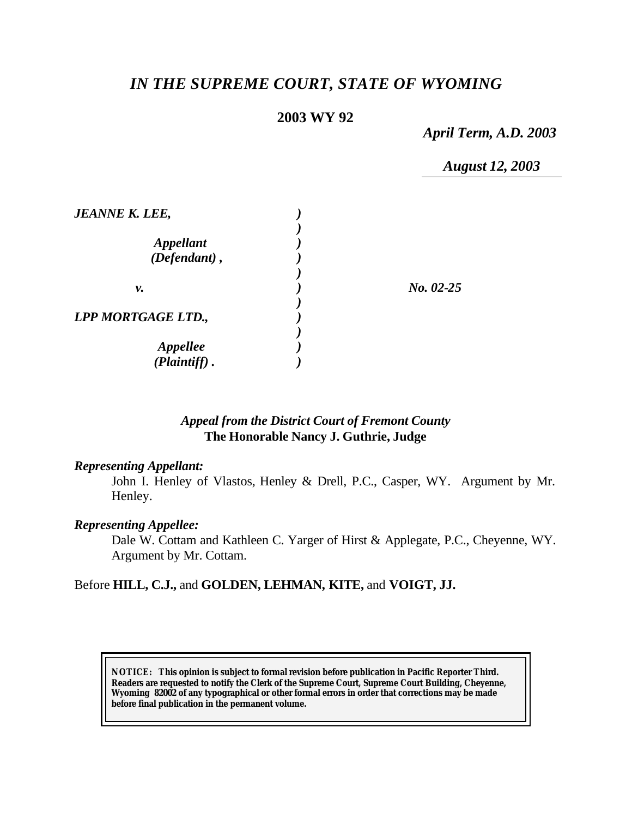# *IN THE SUPREME COURT, STATE OF WYOMING*

# **2003 WY 92**

*April Term, A.D. 2003*

*August 12, 2003*

| <b>JEANNE K. LEE,</b>                      |             |
|--------------------------------------------|-------------|
| <i><b>Appellant</b></i><br>$(Defendant)$ , |             |
| v.                                         | $No. 02-25$ |
| LPP MORTGAGE LTD.,                         |             |
| <b>Appellee</b><br>(Plaintiff).            |             |

### *Appeal from the District Court of Fremont County* **The Honorable Nancy J. Guthrie, Judge**

#### *Representing Appellant:*

John I. Henley of Vlastos, Henley & Drell, P.C., Casper, WY. Argument by Mr. Henley.

#### *Representing Appellee:*

Dale W. Cottam and Kathleen C. Yarger of Hirst & Applegate, P.C., Cheyenne, WY. Argument by Mr. Cottam.

### Before **HILL, C.J.,** and **GOLDEN, LEHMAN, KITE,** and **VOIGT, JJ.**

**NOTICE:** *This opinion is subject to formal revision before publication in Pacific Reporter Third. Readers are requested to notify the Clerk of the Supreme Court, Supreme Court Building, Cheyenne, Wyoming 82002 of any typographical or other formal errors in order that corrections may be made before final publication in the permanent volume.*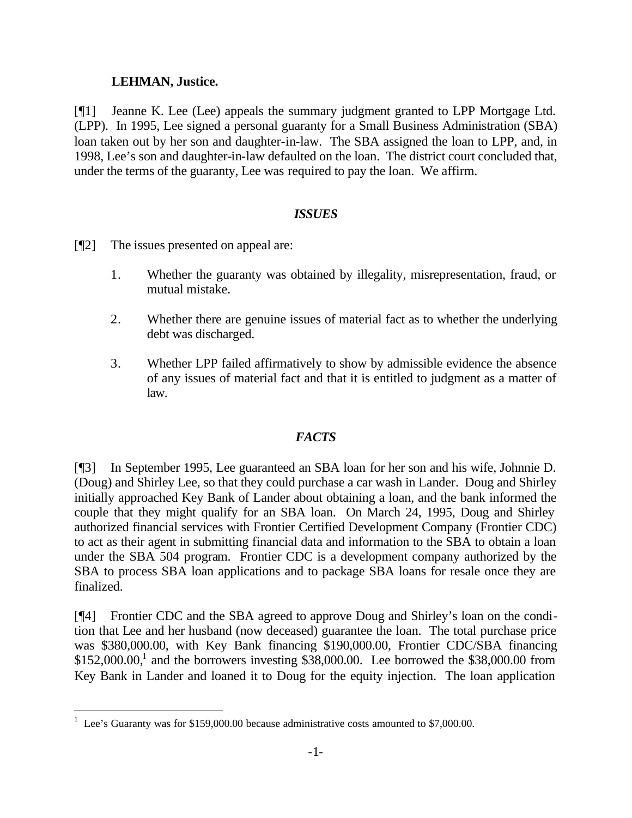# **LEHMAN, Justice.**

[¶1] Jeanne K. Lee (Lee) appeals the summary judgment granted to LPP Mortgage Ltd. (LPP). In 1995, Lee signed a personal guaranty for a Small Business Administration (SBA) loan taken out by her son and daughter-in-law. The SBA assigned the loan to LPP, and, in 1998, Lee's son and daughter-in-law defaulted on the loan. The district court concluded that, under the terms of the guaranty, Lee was required to pay the loan. We affirm.

# *ISSUES*

- [¶2] The issues presented on appeal are:
	- 1. Whether the guaranty was obtained by illegality, misrepresentation, fraud, or mutual mistake.
	- 2. Whether there are genuine issues of material fact as to whether the underlying debt was discharged.
	- 3. Whether LPP failed affirmatively to show by admissible evidence the absence of any issues of material fact and that it is entitled to judgment as a matter of law.

# *FACTS*

[¶3] In September 1995, Lee guaranteed an SBA loan for her son and his wife, Johnnie D. (Doug) and Shirley Lee, so that they could purchase a car wash in Lander. Doug and Shirley initially approached Key Bank of Lander about obtaining a loan, and the bank informed the couple that they might qualify for an SBA loan. On March 24, 1995, Doug and Shirley authorized financial services with Frontier Certified Development Company (Frontier CDC) to act as their agent in submitting financial data and information to the SBA to obtain a loan under the SBA 504 program. Frontier CDC is a development company authorized by the SBA to process SBA loan applications and to package SBA loans for resale once they are finalized.

[¶4] Frontier CDC and the SBA agreed to approve Doug and Shirley's loan on the condition that Lee and her husband (now deceased) guarantee the loan. The total purchase price was \$380,000.00, with Key Bank financing \$190,000.00, Frontier CDC/SBA financing  $$152,000.00$ <sup>1</sup> and the borrowers investing  $$38,000.00$ . Lee borrowed the  $$38,000.00$  from Key Bank in Lander and loaned it to Doug for the equity injection. The loan application

<sup>&</sup>lt;sup>1</sup> Lee's Guaranty was for \$159,000.00 because administrative costs amounted to \$7,000.00.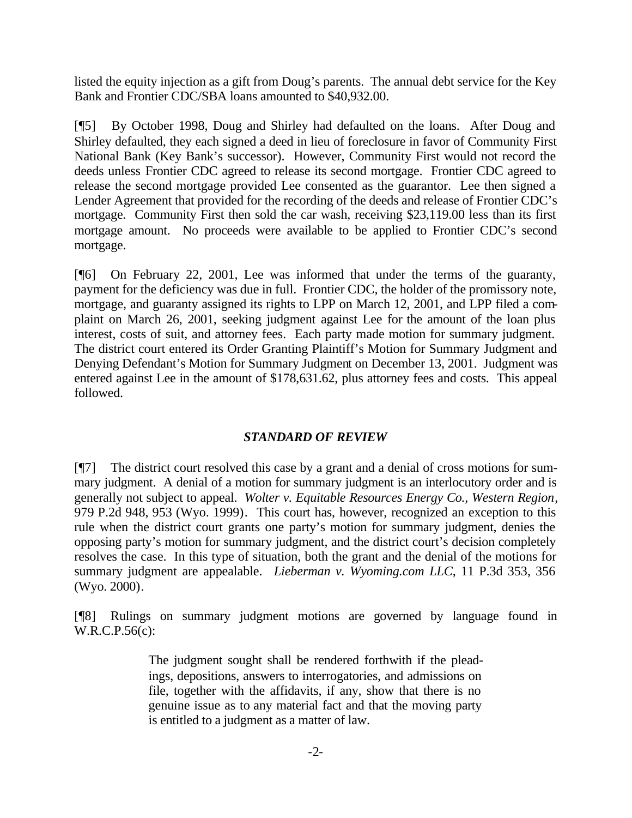listed the equity injection as a gift from Doug's parents. The annual debt service for the Key Bank and Frontier CDC/SBA loans amounted to \$40,932.00.

[¶5] By October 1998, Doug and Shirley had defaulted on the loans. After Doug and Shirley defaulted, they each signed a deed in lieu of foreclosure in favor of Community First National Bank (Key Bank's successor). However, Community First would not record the deeds unless Frontier CDC agreed to release its second mortgage. Frontier CDC agreed to release the second mortgage provided Lee consented as the guarantor. Lee then signed a Lender Agreement that provided for the recording of the deeds and release of Frontier CDC's mortgage. Community First then sold the car wash, receiving \$23,119.00 less than its first mortgage amount. No proceeds were available to be applied to Frontier CDC's second mortgage.

[¶6] On February 22, 2001, Lee was informed that under the terms of the guaranty, payment for the deficiency was due in full. Frontier CDC, the holder of the promissory note, mortgage, and guaranty assigned its rights to LPP on March 12, 2001, and LPP filed a complaint on March 26, 2001, seeking judgment against Lee for the amount of the loan plus interest, costs of suit, and attorney fees. Each party made motion for summary judgment. The district court entered its Order Granting Plaintiff's Motion for Summary Judgment and Denying Defendant's Motion for Summary Judgment on December 13, 2001. Judgment was entered against Lee in the amount of \$178,631.62, plus attorney fees and costs. This appeal followed.

### *STANDARD OF REVIEW*

[¶7] The district court resolved this case by a grant and a denial of cross motions for summary judgment. A denial of a motion for summary judgment is an interlocutory order and is generally not subject to appeal. *Wolter v. Equitable Resources Energy Co., Western Region*, 979 P.2d 948, 953 (Wyo. 1999). This court has, however, recognized an exception to this rule when the district court grants one party's motion for summary judgment, denies the opposing party's motion for summary judgment, and the district court's decision completely resolves the case. In this type of situation, both the grant and the denial of the motions for summary judgment are appealable. *Lieberman v. Wyoming.com LLC*, 11 P.3d 353, 356 (Wyo. 2000).

[¶8] Rulings on summary judgment motions are governed by language found in W.R.C.P.56(c):

> The judgment sought shall be rendered forthwith if the pleadings, depositions, answers to interrogatories, and admissions on file, together with the affidavits, if any, show that there is no genuine issue as to any material fact and that the moving party is entitled to a judgment as a matter of law.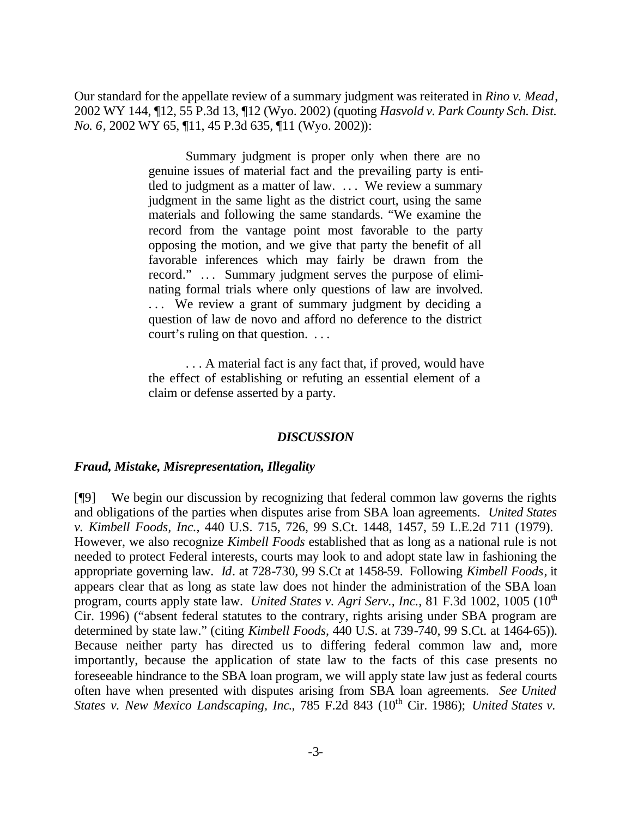Our standard for the appellate review of a summary judgment was reiterated in *Rino v. Mead*, 2002 WY 144, ¶12, 55 P.3d 13, ¶12 (Wyo. 2002) (quoting *Hasvold v. Park County Sch. Dist. No. 6*, 2002 WY 65, ¶11, 45 P.3d 635, ¶11 (Wyo. 2002)):

> Summary judgment is proper only when there are no genuine issues of material fact and the prevailing party is entitled to judgment as a matter of law. . . . We review a summary judgment in the same light as the district court, using the same materials and following the same standards. "We examine the record from the vantage point most favorable to the party opposing the motion, and we give that party the benefit of all favorable inferences which may fairly be drawn from the record." .. . Summary judgment serves the purpose of eliminating formal trials where only questions of law are involved. ... We review a grant of summary judgment by deciding a question of law de novo and afford no deference to the district court's ruling on that question. . . .

> . . . A material fact is any fact that, if proved, would have the effect of establishing or refuting an essential element of a claim or defense asserted by a party.

#### *DISCUSSION*

#### *Fraud, Mistake, Misrepresentation, Illegality*

[¶9] We begin our discussion by recognizing that federal common law governs the rights and obligations of the parties when disputes arise from SBA loan agreements. *United States v. Kimbell Foods, Inc.,* 440 U.S. 715, 726, 99 S.Ct. 1448, 1457, 59 L.E.2d 711 (1979). However, we also recognize *Kimbell Foods* established that as long as a national rule is not needed to protect Federal interests, courts may look to and adopt state law in fashioning the appropriate governing law. *Id*. at 728-730, 99 S.Ct at 1458-59. Following *Kimbell Foods*, it appears clear that as long as state law does not hinder the administration of the SBA loan program, courts apply state law. *United States v. Agri Serv., Inc.*, 81 F.3d 1002, 1005 (10<sup>th</sup>) Cir. 1996) ("absent federal statutes to the contrary, rights arising under SBA program are determined by state law." (citing *Kimbell Foods*, 440 U.S. at 739-740, 99 S.Ct. at 1464-65)). Because neither party has directed us to differing federal common law and, more importantly, because the application of state law to the facts of this case presents no foreseeable hindrance to the SBA loan program, we will apply state law just as federal courts often have when presented with disputes arising from SBA loan agreements. *See United States v. New Mexico Landscaping, Inc., 785 F.2d 843 (10<sup>th</sup> Cir. 1986); <i>United States v.*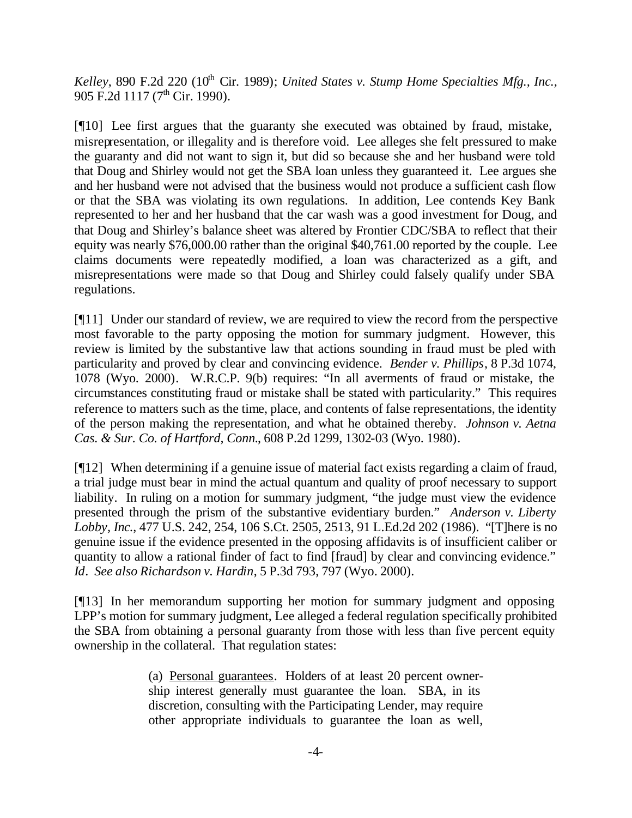*Kelley*, 890 F.2d 220 (10<sup>th</sup> Cir. 1989); *United States v. Stump Home Specialties Mfg., Inc.,* 905 F.2d 1117 (7<sup>th</sup> Cir. 1990).

[¶10] Lee first argues that the guaranty she executed was obtained by fraud, mistake, misrepresentation, or illegality and is therefore void. Lee alleges she felt pressured to make the guaranty and did not want to sign it, but did so because she and her husband were told that Doug and Shirley would not get the SBA loan unless they guaranteed it. Lee argues she and her husband were not advised that the business would not produce a sufficient cash flow or that the SBA was violating its own regulations. In addition, Lee contends Key Bank represented to her and her husband that the car wash was a good investment for Doug, and that Doug and Shirley's balance sheet was altered by Frontier CDC/SBA to reflect that their equity was nearly \$76,000.00 rather than the original \$40,761.00 reported by the couple. Lee claims documents were repeatedly modified, a loan was characterized as a gift, and misrepresentations were made so that Doug and Shirley could falsely qualify under SBA regulations.

[¶11] Under our standard of review, we are required to view the record from the perspective most favorable to the party opposing the motion for summary judgment. However, this review is limited by the substantive law that actions sounding in fraud must be pled with particularity and proved by clear and convincing evidence. *Bender v. Phillips*, 8 P.3d 1074, 1078 (Wyo. 2000). W.R.C.P. 9(b) requires: "In all averments of fraud or mistake, the circumstances constituting fraud or mistake shall be stated with particularity." This requires reference to matters such as the time, place, and contents of false representations, the identity of the person making the representation, and what he obtained thereby. *Johnson v. Aetna Cas. & Sur. Co. of Hartford, Conn.*, 608 P.2d 1299, 1302-03 (Wyo. 1980).

[¶12] When determining if a genuine issue of material fact exists regarding a claim of fraud, a trial judge must bear in mind the actual quantum and quality of proof necessary to support liability. In ruling on a motion for summary judgment, "the judge must view the evidence presented through the prism of the substantive evidentiary burden." *Anderson v. Liberty Lobby, Inc.*, 477 U.S. 242, 254, 106 S.Ct. 2505, 2513, 91 L.Ed.2d 202 (1986). "[T]here is no genuine issue if the evidence presented in the opposing affidavits is of insufficient caliber or quantity to allow a rational finder of fact to find [fraud] by clear and convincing evidence." *Id*. *See also Richardson v. Hardin*, 5 P.3d 793, 797 (Wyo. 2000).

[¶13] In her memorandum supporting her motion for summary judgment and opposing LPP's motion for summary judgment, Lee alleged a federal regulation specifically prohibited the SBA from obtaining a personal guaranty from those with less than five percent equity ownership in the collateral. That regulation states:

> (a) Personal guarantees. Holders of at least 20 percent ownership interest generally must guarantee the loan. SBA, in its discretion, consulting with the Participating Lender, may require other appropriate individuals to guarantee the loan as well,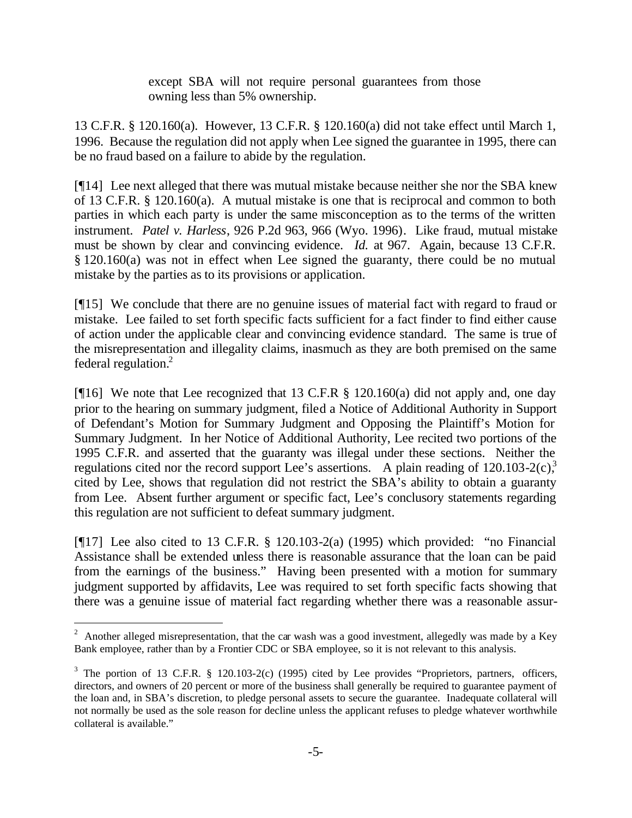except SBA will not require personal guarantees from those owning less than 5% ownership.

13 C.F.R. § 120.160(a). However, 13 C.F.R. § 120.160(a) did not take effect until March 1, 1996. Because the regulation did not apply when Lee signed the guarantee in 1995, there can be no fraud based on a failure to abide by the regulation.

[¶14] Lee next alleged that there was mutual mistake because neither she nor the SBA knew of 13 C.F.R. § 120.160(a). A mutual mistake is one that is reciprocal and common to both parties in which each party is under the same misconception as to the terms of the written instrument. *Patel v. Harless*, 926 P.2d 963, 966 (Wyo. 1996). Like fraud, mutual mistake must be shown by clear and convincing evidence. *Id.* at 967. Again, because 13 C.F.R. § 120.160(a) was not in effect when Lee signed the guaranty, there could be no mutual mistake by the parties as to its provisions or application.

[¶15] We conclude that there are no genuine issues of material fact with regard to fraud or mistake. Lee failed to set forth specific facts sufficient for a fact finder to find either cause of action under the applicable clear and convincing evidence standard. The same is true of the misrepresentation and illegality claims, inasmuch as they are both premised on the same federal regulation.<sup>2</sup>

[ $[16]$ ] We note that Lee recognized that 13 C.F.R § 120.160(a) did not apply and, one day prior to the hearing on summary judgment, filed a Notice of Additional Authority in Support of Defendant's Motion for Summary Judgment and Opposing the Plaintiff's Motion for Summary Judgment. In her Notice of Additional Authority, Lee recited two portions of the 1995 C.F.R. and asserted that the guaranty was illegal under these sections. Neither the regulations cited nor the record support Lee's assertions. A plain reading of  $120.103 - 2(c)$ ,<sup>3</sup> cited by Lee, shows that regulation did not restrict the SBA's ability to obtain a guaranty from Lee. Absent further argument or specific fact, Lee's conclusory statements regarding this regulation are not sufficient to defeat summary judgment.

[ $[17]$ ] Lee also cited to 13 C.F.R. § 120.103-2(a) (1995) which provided: "no Financial Assistance shall be extended unless there is reasonable assurance that the loan can be paid from the earnings of the business." Having been presented with a motion for summary judgment supported by affidavits, Lee was required to set forth specific facts showing that there was a genuine issue of material fact regarding whether there was a reasonable assur-

<sup>&</sup>lt;sup>2</sup> Another alleged misrepresentation, that the car wash was a good investment, allegedly was made by a Key Bank employee, rather than by a Frontier CDC or SBA employee, so it is not relevant to this analysis.

 $3$  The portion of 13 C.F.R. § 120.103-2(c) (1995) cited by Lee provides "Proprietors, partners, officers, directors, and owners of 20 percent or more of the business shall generally be required to guarantee payment of the loan and, in SBA's discretion, to pledge personal assets to secure the guarantee. Inadequate collateral will not normally be used as the sole reason for decline unless the applicant refuses to pledge whatever worthwhile collateral is available."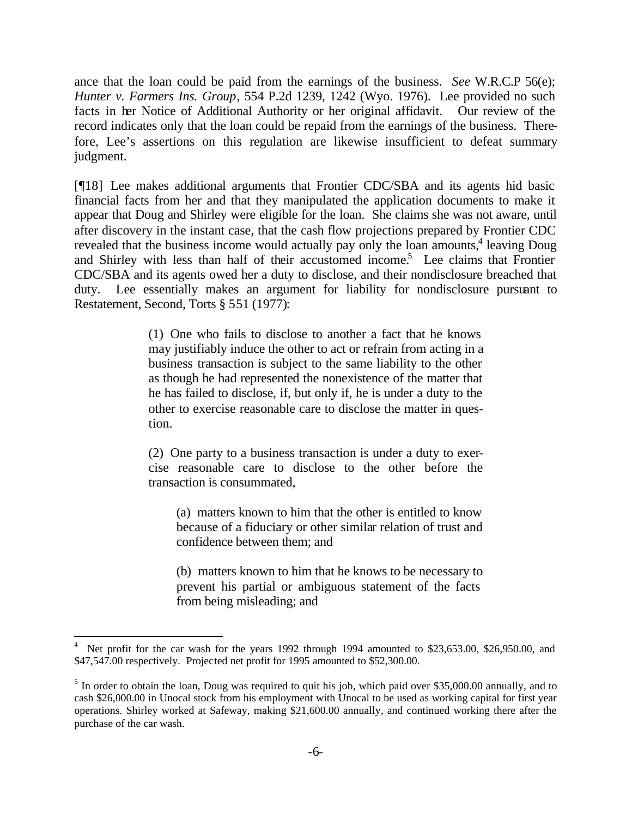ance that the loan could be paid from the earnings of the business. *See* W.R.C.P 56(e); *Hunter v. Farmers Ins. Group*, 554 P.2d 1239, 1242 (Wyo. 1976). Lee provided no such facts in her Notice of Additional Authority or her original affidavit. Our review of the record indicates only that the loan could be repaid from the earnings of the business. Therefore, Lee's assertions on this regulation are likewise insufficient to defeat summary judgment.

[¶18] Lee makes additional arguments that Frontier CDC/SBA and its agents hid basic financial facts from her and that they manipulated the application documents to make it appear that Doug and Shirley were eligible for the loan. She claims she was not aware, until after discovery in the instant case, that the cash flow projections prepared by Frontier CDC revealed that the business income would actually pay only the loan amounts,<sup>4</sup> leaving Doug and Shirley with less than half of their accustomed income.<sup>5</sup> Lee claims that Frontier CDC/SBA and its agents owed her a duty to disclose, and their nondisclosure breached that duty. Lee essentially makes an argument for liability for nondisclosure pursuant to Restatement, Second, Torts § 551 (1977):

> (1) One who fails to disclose to another a fact that he knows may justifiably induce the other to act or refrain from acting in a business transaction is subject to the same liability to the other as though he had represented the nonexistence of the matter that he has failed to disclose, if, but only if, he is under a duty to the other to exercise reasonable care to disclose the matter in question.

> (2) One party to a business transaction is under a duty to exercise reasonable care to disclose to the other before the transaction is consummated,

(a) matters known to him that the other is entitled to know because of a fiduciary or other similar relation of trust and confidence between them; and

(b) matters known to him that he knows to be necessary to prevent his partial or ambiguous statement of the facts from being misleading; and

<sup>4</sup> Net profit for the car wash for the years 1992 through 1994 amounted to \$23,653.00, \$26,950.00, and \$47,547.00 respectively. Projected net profit for 1995 amounted to \$52,300.00.

 $<sup>5</sup>$  In order to obtain the loan, Doug was required to quit his job, which paid over \$35,000.00 annually, and to</sup> cash \$26,000.00 in Unocal stock from his employment with Unocal to be used as working capital for first year operations. Shirley worked at Safeway, making \$21,600.00 annually, and continued working there after the purchase of the car wash.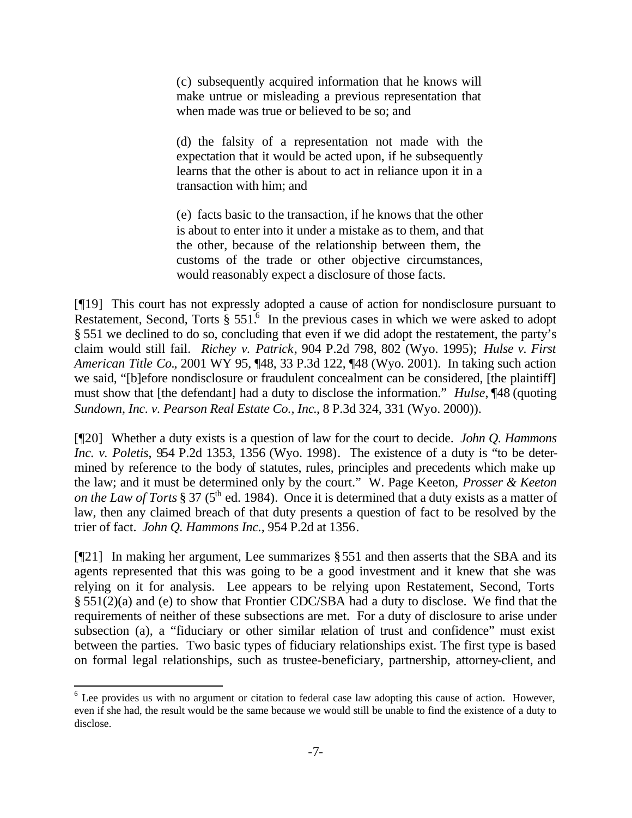(c) subsequently acquired information that he knows will make untrue or misleading a previous representation that when made was true or believed to be so; and

(d) the falsity of a representation not made with the expectation that it would be acted upon, if he subsequently learns that the other is about to act in reliance upon it in a transaction with him; and

(e) facts basic to the transaction, if he knows that the other is about to enter into it under a mistake as to them, and that the other, because of the relationship between them, the customs of the trade or other objective circumstances, would reasonably expect a disclosure of those facts.

[¶19] This court has not expressly adopted a cause of action for nondisclosure pursuant to Restatement, Second, Torts  $\S 551<sup>6</sup>$  In the previous cases in which we were asked to adopt § 551 we declined to do so, concluding that even if we did adopt the restatement, the party's claim would still fail. *Richey v. Patrick*, 904 P.2d 798, 802 (Wyo. 1995); *Hulse v. First American Title Co.*, 2001 WY 95, ¶48, 33 P.3d 122, ¶48 (Wyo. 2001). In taking such action we said, "[b]efore nondisclosure or fraudulent concealment can be considered, [the plaintiff] must show that [the defendant] had a duty to disclose the information." *Hulse*, ¶48 (quoting *Sundown, Inc. v. Pearson Real Estate Co., Inc*., 8 P.3d 324, 331 (Wyo. 2000)).

[¶20] Whether a duty exists is a question of law for the court to decide. *John Q. Hammons Inc. v. Poletis*, 954 P.2d 1353, 1356 (Wyo. 1998). The existence of a duty is "to be determined by reference to the body of statutes, rules, principles and precedents which make up the law; and it must be determined only by the court." W. Page Keeton, *Prosser & Keeton on the Law of Torts* § 37 (5<sup>th</sup> ed. 1984). Once it is determined that a duty exists as a matter of law, then any claimed breach of that duty presents a question of fact to be resolved by the trier of fact. *John Q. Hammons Inc.,* 954 P.2d at 1356.

[¶21] In making her argument, Lee summarizes §551 and then asserts that the SBA and its agents represented that this was going to be a good investment and it knew that she was relying on it for analysis. Lee appears to be relying upon Restatement, Second, Torts § 551(2)(a) and (e) to show that Frontier CDC/SBA had a duty to disclose. We find that the requirements of neither of these subsections are met. For a duty of disclosure to arise under subsection (a), a "fiduciary or other similar relation of trust and confidence" must exist between the parties. Two basic types of fiduciary relationships exist. The first type is based on formal legal relationships, such as trustee-beneficiary, partnership, attorney-client, and

<sup>&</sup>lt;sup>6</sup> Lee provides us with no argument or citation to federal case law adopting this cause of action. However, even if she had, the result would be the same because we would still be unable to find the existence of a duty to disclose.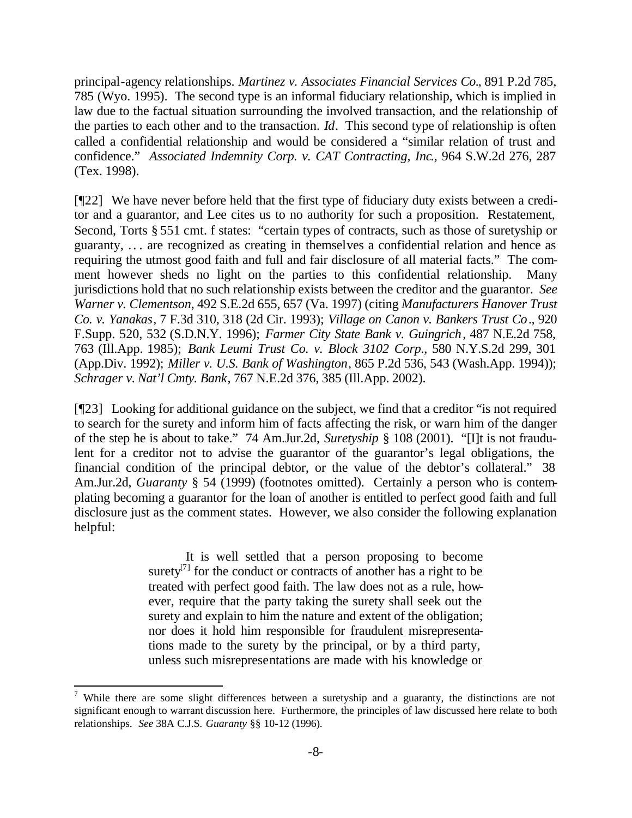principal-agency relationships. *Martinez v. Associates Financial Services Co.*, 891 P.2d 785, 785 (Wyo. 1995). The second type is an informal fiduciary relationship, which is implied in law due to the factual situation surrounding the involved transaction, and the relationship of the parties to each other and to the transaction. *Id*. This second type of relationship is often called a confidential relationship and would be considered a "similar relation of trust and confidence." *Associated Indemnity Corp. v. CAT Contracting, Inc.*, 964 S.W.2d 276, 287 (Tex. 1998).

[¶22] We have never before held that the first type of fiduciary duty exists between a creditor and a guarantor, and Lee cites us to no authority for such a proposition. Restatement, Second, Torts § 551 cmt. f states: "certain types of contracts, such as those of suretyship or guaranty, .. . are recognized as creating in themselves a confidential relation and hence as requiring the utmost good faith and full and fair disclosure of all material facts." The comment however sheds no light on the parties to this confidential relationship. Many jurisdictions hold that no such relationship exists between the creditor and the guarantor. *See Warner v. Clementson*, 492 S.E.2d 655, 657 (Va. 1997) (citing *Manufacturers Hanover Trust Co. v. Yanakas*, 7 F.3d 310, 318 (2d Cir. 1993); *Village on Canon v. Bankers Trust Co*., 920 F.Supp. 520, 532 (S.D.N.Y. 1996); *Farmer City State Bank v. Guingrich*, 487 N.E.2d 758, 763 (Ill.App. 1985); *Bank Leumi Trust Co. v. Block 3102 Corp*., 580 N.Y.S.2d 299, 301 (App.Div. 1992); *Miller v. U.S. Bank of Washington*, 865 P.2d 536, 543 (Wash.App. 1994)); *Schrager v. Nat'l Cmty. Bank*, 767 N.E.2d 376, 385 (Ill.App. 2002).

[¶23] Looking for additional guidance on the subject, we find that a creditor "is not required to search for the surety and inform him of facts affecting the risk, or warn him of the danger of the step he is about to take." 74 Am.Jur.2d, *Suretyship* § 108 (2001). "[I]t is not fraudulent for a creditor not to advise the guarantor of the guarantor's legal obligations, the financial condition of the principal debtor, or the value of the debtor's collateral." 38 Am.Jur.2d, *Guaranty* § 54 (1999) (footnotes omitted). Certainly a person who is contemplating becoming a guarantor for the loan of another is entitled to perfect good faith and full disclosure just as the comment states. However, we also consider the following explanation helpful:

> It is well settled that a person proposing to become surety $^{[7]}$  for the conduct or contracts of another has a right to be treated with perfect good faith. The law does not as a rule, however, require that the party taking the surety shall seek out the surety and explain to him the nature and extent of the obligation; nor does it hold him responsible for fraudulent misrepresentations made to the surety by the principal, or by a third party, unless such misrepresentations are made with his knowledge or

<sup>&</sup>lt;sup>7</sup> While there are some slight differences between a suretyship and a guaranty, the distinctions are not significant enough to warrant discussion here. Furthermore, the principles of law discussed here relate to both relationships. *See* 38A C.J.S. *Guaranty* §§ 10-12 (1996).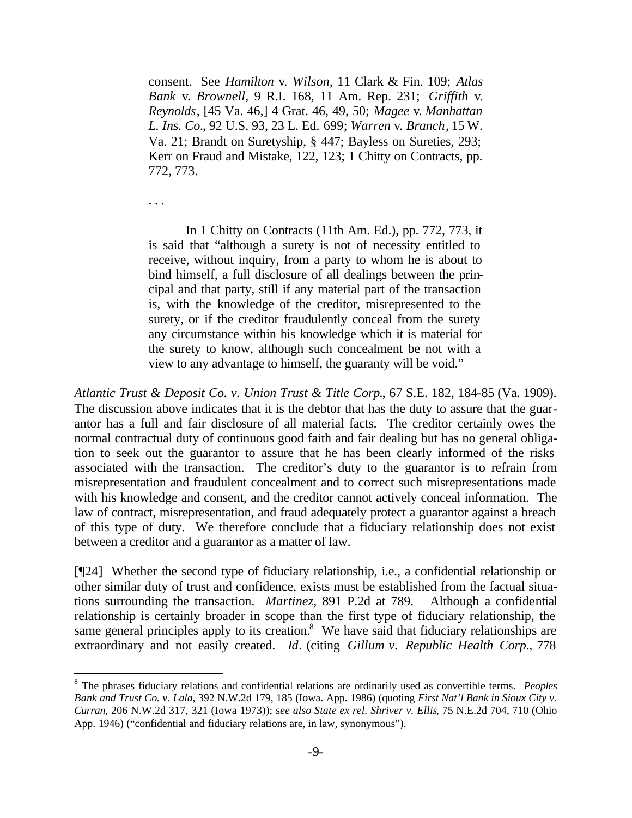consent. See *Hamilton* v. *Wilson*, 11 Clark & Fin. 109; *Atlas Bank* v. *Brownell*, 9 R.I. 168, 11 Am. Rep. 231; *Griffith* v. *Reynolds*, [45 Va. 46,] 4 Grat. 46, 49, 50; *Magee* v. *Manhattan L. Ins. Co.*, 92 U.S. 93, 23 L. Ed. 699; *Warren* v. *Branch*, 15 W. Va. 21; Brandt on Suretyship, § 447; Bayless on Sureties, 293; Kerr on Fraud and Mistake, 122, 123; 1 Chitty on Contracts, pp. 772, 773.

. . .

 $\overline{a}$ 

In 1 Chitty on Contracts (11th Am. Ed.), pp. 772, 773, it is said that "although a surety is not of necessity entitled to receive, without inquiry, from a party to whom he is about to bind himself, a full disclosure of all dealings between the principal and that party, still if any material part of the transaction is, with the knowledge of the creditor, misrepresented to the surety, or if the creditor fraudulently conceal from the surety any circumstance within his knowledge which it is material for the surety to know, although such concealment be not with a view to any advantage to himself, the guaranty will be void."

*Atlantic Trust & Deposit Co. v. Union Trust & Title Corp.*, 67 S.E. 182, 184-85 (Va. 1909). The discussion above indicates that it is the debtor that has the duty to assure that the guarantor has a full and fair disclosure of all material facts. The creditor certainly owes the normal contractual duty of continuous good faith and fair dealing but has no general obligation to seek out the guarantor to assure that he has been clearly informed of the risks associated with the transaction. The creditor's duty to the guarantor is to refrain from misrepresentation and fraudulent concealment and to correct such misrepresentations made with his knowledge and consent, and the creditor cannot actively conceal information. The law of contract, misrepresentation, and fraud adequately protect a guarantor against a breach of this type of duty. We therefore conclude that a fiduciary relationship does not exist between a creditor and a guarantor as a matter of law.

[¶24] Whether the second type of fiduciary relationship, i.e., a confidential relationship or other similar duty of trust and confidence, exists must be established from the factual situations surrounding the transaction. *Martinez*, 891 P.2d at 789. Although a confidential relationship is certainly broader in scope than the first type of fiduciary relationship, the same general principles apply to its creation.<sup>8</sup> We have said that fiduciary relationships are extraordinary and not easily created. *Id*. (citing *Gillum v. Republic Health Corp*., 778

<sup>8</sup> The phrases fiduciary relations and confidential relations are ordinarily used as convertible terms. *Peoples Bank and Trust Co. v. Lala*, 392 N.W.2d 179, 185 (Iowa. App. 1986) (quoting *First Nat'l Bank in Sioux City v. Curran*, 206 N.W.2d 317, 321 (Iowa 1973)); s*ee also State ex rel. Shriver v. Ellis*, 75 N.E.2d 704, 710 (Ohio App. 1946) ("confidential and fiduciary relations are, in law, synonymous").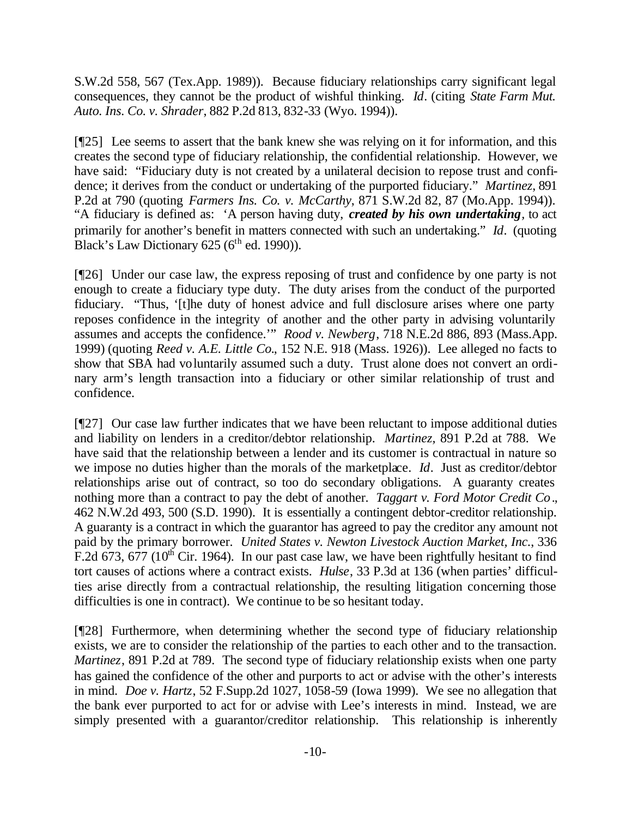S.W.2d 558, 567 (Tex.App. 1989)). Because fiduciary relationships carry significant legal consequences, they cannot be the product of wishful thinking. *Id*. (citing *State Farm Mut. Auto. Ins. Co. v. Shrader*, 882 P.2d 813, 832-33 (Wyo. 1994)).

[¶25] Lee seems to assert that the bank knew she was relying on it for information, and this creates the second type of fiduciary relationship, the confidential relationship. However, we have said: "Fiduciary duty is not created by a unilateral decision to repose trust and confidence; it derives from the conduct or undertaking of the purported fiduciary." *Martinez*, 891 P.2d at 790 (quoting *Farmers Ins. Co. v. McCarthy*, 871 S.W.2d 82, 87 (Mo.App. 1994)). "A fiduciary is defined as: 'A person having duty, *created by his own undertaking,* to act primarily for another's benefit in matters connected with such an undertaking." *Id*. (quoting Black's Law Dictionary  $625 (6<sup>th</sup>$  ed. 1990)).

[¶26] Under our case law, the express reposing of trust and confidence by one party is not enough to create a fiduciary type duty. The duty arises from the conduct of the purported fiduciary. "Thus, '[t]he duty of honest advice and full disclosure arises where one party reposes confidence in the integrity of another and the other party in advising voluntarily assumes and accepts the confidence.'" *Rood v. Newberg*, 718 N.E.2d 886, 893 (Mass.App. 1999) (quoting *Reed v. A.E. Little Co.*, 152 N.E. 918 (Mass. 1926)). Lee alleged no facts to show that SBA had voluntarily assumed such a duty. Trust alone does not convert an ordinary arm's length transaction into a fiduciary or other similar relationship of trust and confidence.

[¶27] Our case law further indicates that we have been reluctant to impose additional duties and liability on lenders in a creditor/debtor relationship. *Martinez,* 891 P.2d at 788. We have said that the relationship between a lender and its customer is contractual in nature so we impose no duties higher than the morals of the marketplace. *Id*. Just as creditor/debtor relationships arise out of contract, so too do secondary obligations. A guaranty creates nothing more than a contract to pay the debt of another. *Taggart v. Ford Motor Credit Co*., 462 N.W.2d 493, 500 (S.D. 1990). It is essentially a contingent debtor-creditor relationship. A guaranty is a contract in which the guarantor has agreed to pay the creditor any amount not paid by the primary borrower. *United States v. Newton Livestock Auction Market, Inc.*, 336 F.2d 673, 677 (10<sup>th</sup> Cir. 1964). In our past case law, we have been rightfully hesitant to find tort causes of actions where a contract exists. *Hulse*, 33 P.3d at 136 (when parties' difficulties arise directly from a contractual relationship, the resulting litigation concerning those difficulties is one in contract). We continue to be so hesitant today.

[¶28] Furthermore, when determining whether the second type of fiduciary relationship exists, we are to consider the relationship of the parties to each other and to the transaction. *Martinez*, 891 P.2d at 789. The second type of fiduciary relationship exists when one party has gained the confidence of the other and purports to act or advise with the other's interests in mind. *Doe v. Hartz*, 52 F.Supp.2d 1027, 1058-59 (Iowa 1999). We see no allegation that the bank ever purported to act for or advise with Lee's interests in mind. Instead, we are simply presented with a guarantor/creditor relationship. This relationship is inherently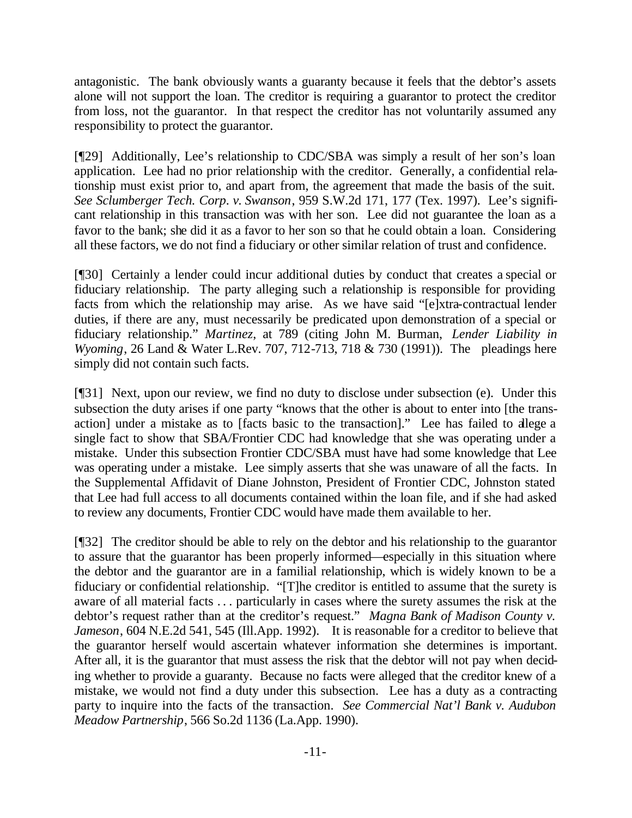antagonistic. The bank obviously wants a guaranty because it feels that the debtor's assets alone will not support the loan. The creditor is requiring a guarantor to protect the creditor from loss, not the guarantor. In that respect the creditor has not voluntarily assumed any responsibility to protect the guarantor.

[¶29] Additionally, Lee's relationship to CDC/SBA was simply a result of her son's loan application. Lee had no prior relationship with the creditor. Generally, a confidential relationship must exist prior to, and apart from, the agreement that made the basis of the suit. *See Sclumberger Tech. Corp*. *v. Swanson*, 959 S.W.2d 171, 177 (Tex. 1997). Lee's significant relationship in this transaction was with her son. Lee did not guarantee the loan as a favor to the bank; she did it as a favor to her son so that he could obtain a loan. Considering all these factors, we do not find a fiduciary or other similar relation of trust and confidence.

[¶30] Certainly a lender could incur additional duties by conduct that creates a special or fiduciary relationship. The party alleging such a relationship is responsible for providing facts from which the relationship may arise. As we have said "[e]xtra-contractual lender duties, if there are any, must necessarily be predicated upon demonstration of a special or fiduciary relationship." *Martinez*, at 789 (citing John M. Burman, *Lender Liability in Wyoming*, 26 Land & Water L.Rev. 707, 712-713, 718 & 730 (1991)). The pleadings here simply did not contain such facts.

[¶31] Next, upon our review, we find no duty to disclose under subsection (e). Under this subsection the duty arises if one party "knows that the other is about to enter into [the transaction] under a mistake as to [facts basic to the transaction]." Lee has failed to allege a single fact to show that SBA/Frontier CDC had knowledge that she was operating under a mistake. Under this subsection Frontier CDC/SBA must have had some knowledge that Lee was operating under a mistake. Lee simply asserts that she was unaware of all the facts. In the Supplemental Affidavit of Diane Johnston, President of Frontier CDC, Johnston stated that Lee had full access to all documents contained within the loan file, and if she had asked to review any documents, Frontier CDC would have made them available to her.

[¶32] The creditor should be able to rely on the debtor and his relationship to the guarantor to assure that the guarantor has been properly informed—especially in this situation where the debtor and the guarantor are in a familial relationship, which is widely known to be a fiduciary or confidential relationship. "[T]he creditor is entitled to assume that the surety is aware of all material facts . . . particularly in cases where the surety assumes the risk at the debtor's request rather than at the creditor's request." *Magna Bank of Madison County v. Jameson*, 604 N.E.2d 541, 545 (Ill.App. 1992). It is reasonable for a creditor to believe that the guarantor herself would ascertain whatever information she determines is important. After all, it is the guarantor that must assess the risk that the debtor will not pay when deciding whether to provide a guaranty. Because no facts were alleged that the creditor knew of a mistake, we would not find a duty under this subsection. Lee has a duty as a contracting party to inquire into the facts of the transaction. *See Commercial Nat'l Bank v. Audubon Meadow Partnership*, 566 So.2d 1136 (La.App. 1990).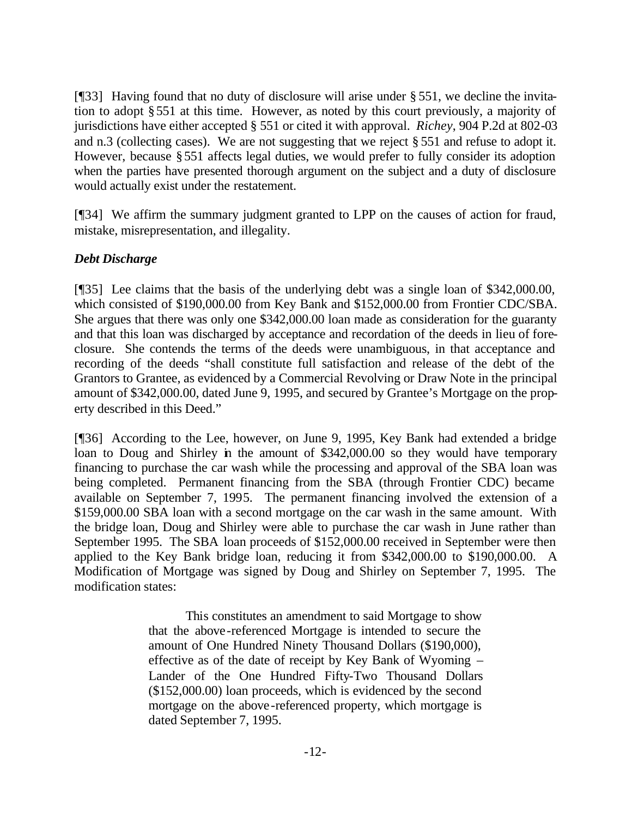[¶33] Having found that no duty of disclosure will arise under § 551, we decline the invitation to adopt §551 at this time. However, as noted by this court previously, a majority of jurisdictions have either accepted § 551 or cited it with approval. *Richey*, 904 P.2d at 802-03 and n.3 (collecting cases). We are not suggesting that we reject § 551 and refuse to adopt it. However, because §551 affects legal duties, we would prefer to fully consider its adoption when the parties have presented thorough argument on the subject and a duty of disclosure would actually exist under the restatement.

[¶34] We affirm the summary judgment granted to LPP on the causes of action for fraud, mistake, misrepresentation, and illegality.

# *Debt Discharge*

[¶35] Lee claims that the basis of the underlying debt was a single loan of \$342,000.00, which consisted of \$190,000.00 from Key Bank and \$152,000.00 from Frontier CDC/SBA. She argues that there was only one \$342,000.00 loan made as consideration for the guaranty and that this loan was discharged by acceptance and recordation of the deeds in lieu of foreclosure. She contends the terms of the deeds were unambiguous, in that acceptance and recording of the deeds "shall constitute full satisfaction and release of the debt of the Grantors to Grantee, as evidenced by a Commercial Revolving or Draw Note in the principal amount of \$342,000.00, dated June 9, 1995, and secured by Grantee's Mortgage on the property described in this Deed."

[¶36] According to the Lee, however, on June 9, 1995, Key Bank had extended a bridge loan to Doug and Shirley in the amount of \$342,000.00 so they would have temporary financing to purchase the car wash while the processing and approval of the SBA loan was being completed. Permanent financing from the SBA (through Frontier CDC) became available on September 7, 1995. The permanent financing involved the extension of a \$159,000.00 SBA loan with a second mortgage on the car wash in the same amount. With the bridge loan, Doug and Shirley were able to purchase the car wash in June rather than September 1995. The SBA loan proceeds of \$152,000.00 received in September were then applied to the Key Bank bridge loan, reducing it from \$342,000.00 to \$190,000.00. A Modification of Mortgage was signed by Doug and Shirley on September 7, 1995. The modification states:

> This constitutes an amendment to said Mortgage to show that the above-referenced Mortgage is intended to secure the amount of One Hundred Ninety Thousand Dollars (\$190,000), effective as of the date of receipt by Key Bank of Wyoming – Lander of the One Hundred Fifty-Two Thousand Dollars (\$152,000.00) loan proceeds, which is evidenced by the second mortgage on the above-referenced property, which mortgage is dated September 7, 1995.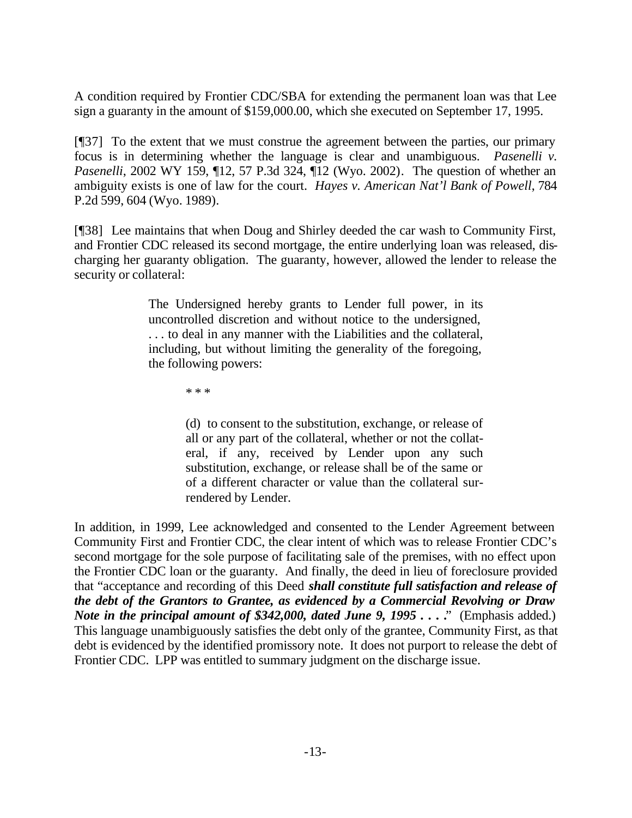A condition required by Frontier CDC/SBA for extending the permanent loan was that Lee sign a guaranty in the amount of \$159,000.00, which she executed on September 17, 1995.

[¶37] To the extent that we must construe the agreement between the parties, our primary focus is in determining whether the language is clear and unambiguous. *Pasenelli v. Pasenelli*, 2002 WY 159, ¶12, 57 P.3d 324, ¶12 (Wyo. 2002). The question of whether an ambiguity exists is one of law for the court. *Hayes v. American Nat'l Bank of Powell*, 784 P.2d 599, 604 (Wyo. 1989).

[¶38] Lee maintains that when Doug and Shirley deeded the car wash to Community First, and Frontier CDC released its second mortgage, the entire underlying loan was released, discharging her guaranty obligation. The guaranty, however, allowed the lender to release the security or collateral:

> The Undersigned hereby grants to Lender full power, in its uncontrolled discretion and without notice to the undersigned, . . . to deal in any manner with the Liabilities and the collateral, including, but without limiting the generality of the foregoing, the following powers:

> > \* \* \*

(d) to consent to the substitution, exchange, or release of all or any part of the collateral, whether or not the collateral, if any, received by Lender upon any such substitution, exchange, or release shall be of the same or of a different character or value than the collateral surrendered by Lender.

In addition, in 1999, Lee acknowledged and consented to the Lender Agreement between Community First and Frontier CDC, the clear intent of which was to release Frontier CDC's second mortgage for the sole purpose of facilitating sale of the premises, with no effect upon the Frontier CDC loan or the guaranty. And finally, the deed in lieu of foreclosure provided that "acceptance and recording of this Deed *shall constitute full satisfaction and release of the debt of the Grantors to Grantee, as evidenced by a Commercial Revolving or Draw Note in the principal amount of \$342,000, dated June 9, 1995 . . . .*" (Emphasis added.) This language unambiguously satisfies the debt only of the grantee, Community First, as that debt is evidenced by the identified promissory note. It does not purport to release the debt of Frontier CDC. LPP was entitled to summary judgment on the discharge issue.